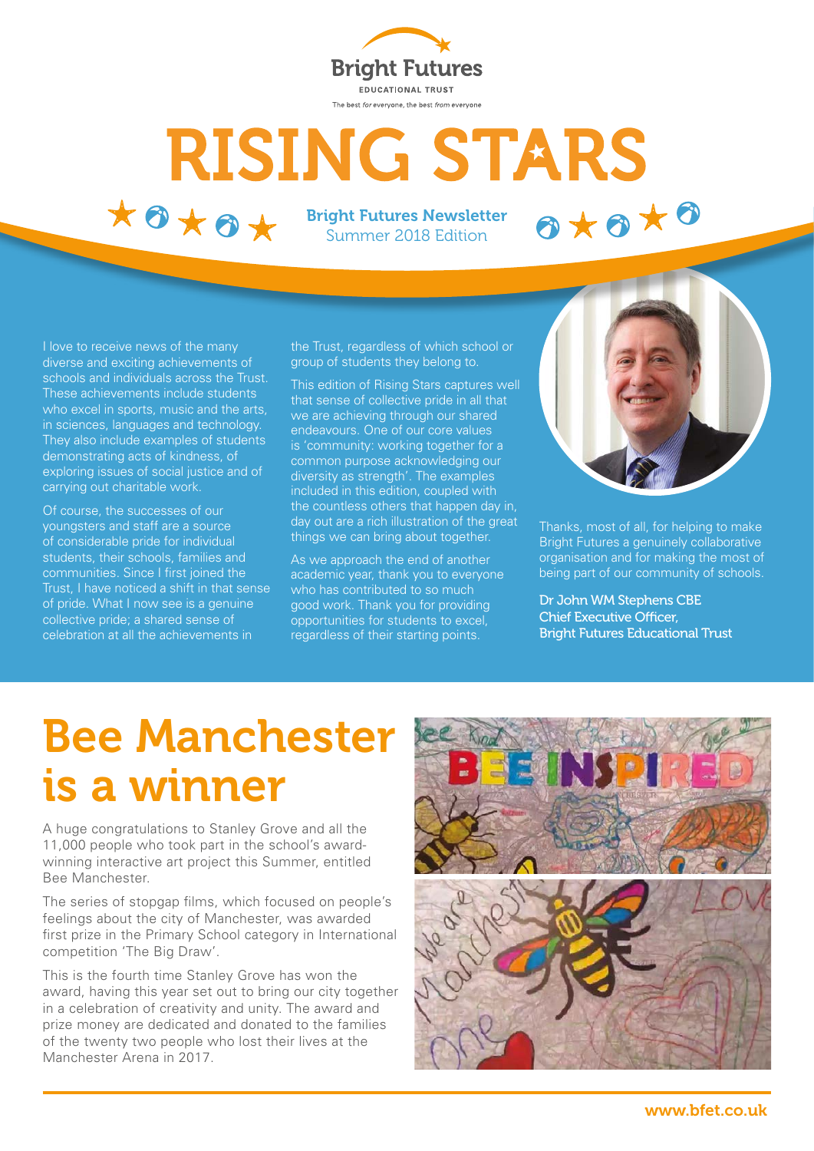

# **RISING STARS**  $*$ 0  $*$ 0  $*$

Bright Futures Newsletter Summer 2018 Edition

I love to receive news of the many diverse and exciting achievements of schools and individuals across the Trust. These achievements include students who excel in sports, music and the arts, in sciences, languages and technology. They also include examples of students demonstrating acts of kindness, of exploring issues of social justice and of carrying out charitable work.

Of course, the successes of our youngsters and staff are a source of considerable pride for individual students, their schools, families and communities. Since I first joined the Trust, I have noticed a shift in that sense of pride. What I now see is a genuine collective pride; a shared sense of celebration at all the achievements in

the Trust, regardless of which school or group of students they belong to.

This edition of Rising Stars captures well that sense of collective pride in all that we are achieving through our shared endeavours. One of our core values is 'community: working together for a common purpose acknowledging our diversity as strength'. The examples included in this edition, coupled with the countless others that happen day in, day out are a rich illustration of the great things we can bring about together.

As we approach the end of another academic year, thank you to everyone who has contributed to so much good work. Thank you for providing opportunities for students to excel, regardless of their starting points.



OXOXO

Thanks, most of all, for helping to make Bright Futures a genuinely collaborative organisation and for making the most of being part of our community of schools.

Dr John WM Stephens CBE Chief Executive Officer, Bright Futures Educational Trust

# Bee Manchester is a winner

A huge congratulations to Stanley Grove and all the 11,000 people who took part in the school's awardwinning interactive art project this Summer, entitled Bee Manchester.

The series of stopgap films, which focused on people's feelings about the city of Manchester, was awarded first prize in the Primary School category in International competition 'The Big Draw'.

This is the fourth time Stanley Grove has won the award, having this year set out to bring our city together in a celebration of creativity and unity. The award and prize money are dedicated and donated to the families of the twenty two people who lost their lives at the Manchester Arena in 2017.

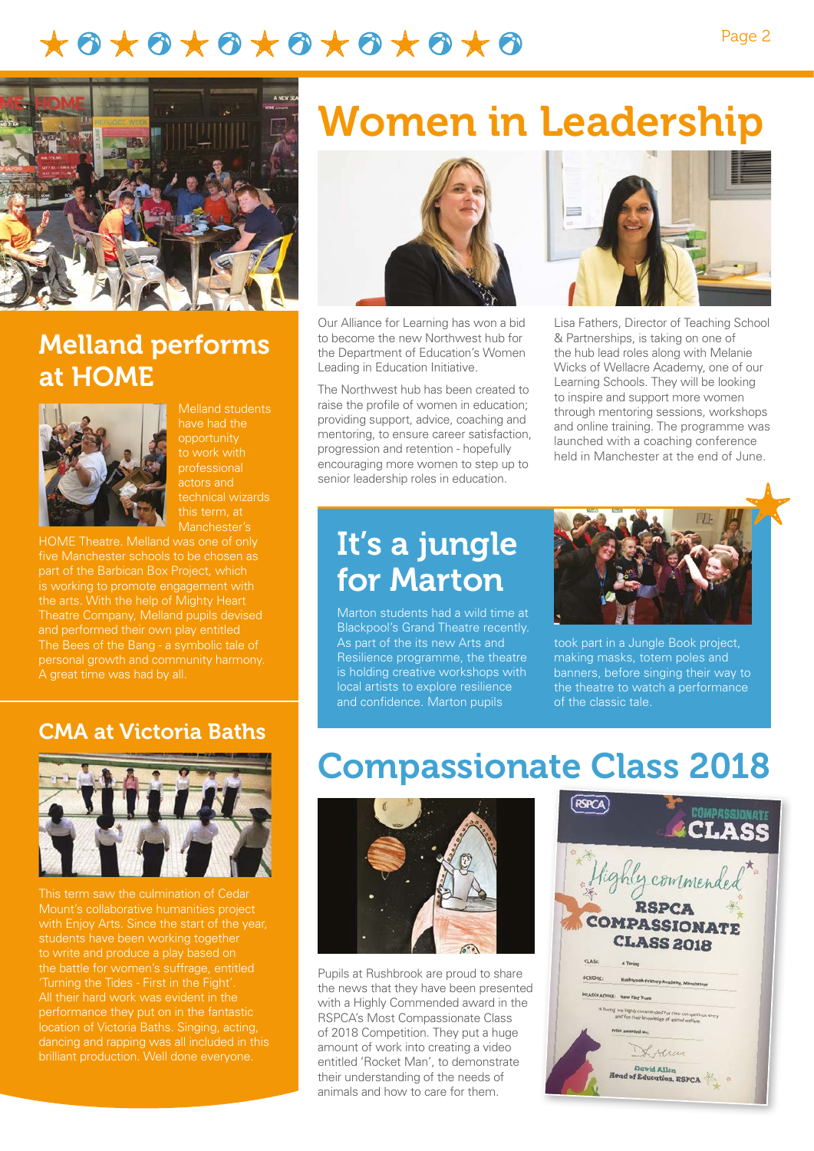### \*\*\*\*\*\*\*\*\*\*\*\*\*\*\*



#### Melland performs at HOME



Melland students have had the opportunity to work with professional actors and this term, at

HOME Theatre. Melland was one of only five Manchester schools to be chosen as is working to promote engagement with the arts. With the help of Mighty Heart personal growth and community harmony. A great time was had by all.

CMA at Victoria Baths



This term saw the culmination of Cedar Mount's collaborative humanities project students have been working together the battle for women's suffrage, entitled 'Turning the Tides - First in the Fight'. performance they put on in the fantastic location of Victoria Baths. Singing, acting, dancing and rapping was all included in this

## Women in Leadership



Our Alliance for Learning has won a bid to become the new Northwest hub for the Department of Education's Women Leading in Education Initiative.

The Northwest hub has been created to raise the profile of women in education; providing support, advice, coaching and mentoring, to ensure career satisfaction, progression and retention - hopefully encouraging more women to step up to senior leadership roles in education.



Lisa Fathers, Director of Teaching School & Partnerships, is taking on one of the hub lead roles along with Melanie Wicks of Wellacre Academy, one of our Learning Schools. They will be looking to inspire and support more women through mentoring sessions, workshops and online training. The programme was launched with a coaching conference held in Manchester at the end of June.

### It's a jungle for Marton

Marton students had a wild time at Blackpool's Grand Theatre recently. As part of the its new Arts and Resilience programme, the theatre is holding creative workshops with local artists to explore resilience and confidence. Marton pupils



took part in a Jungle Book project, making masks, totem poles and banners, before singing their way to the theatre to watch a performance of the classic tale.

## Compassionate Class 2018



Pupils at Rushbrook are proud to share the news that they have been presented with a Highly Commended award in the RSPCA's Most Compassionate Class of 2018 Competition. They put a huge amount of work into creating a video entitled 'Rocket Man', to demonstrate their understanding of the needs of animals and how to care for them.

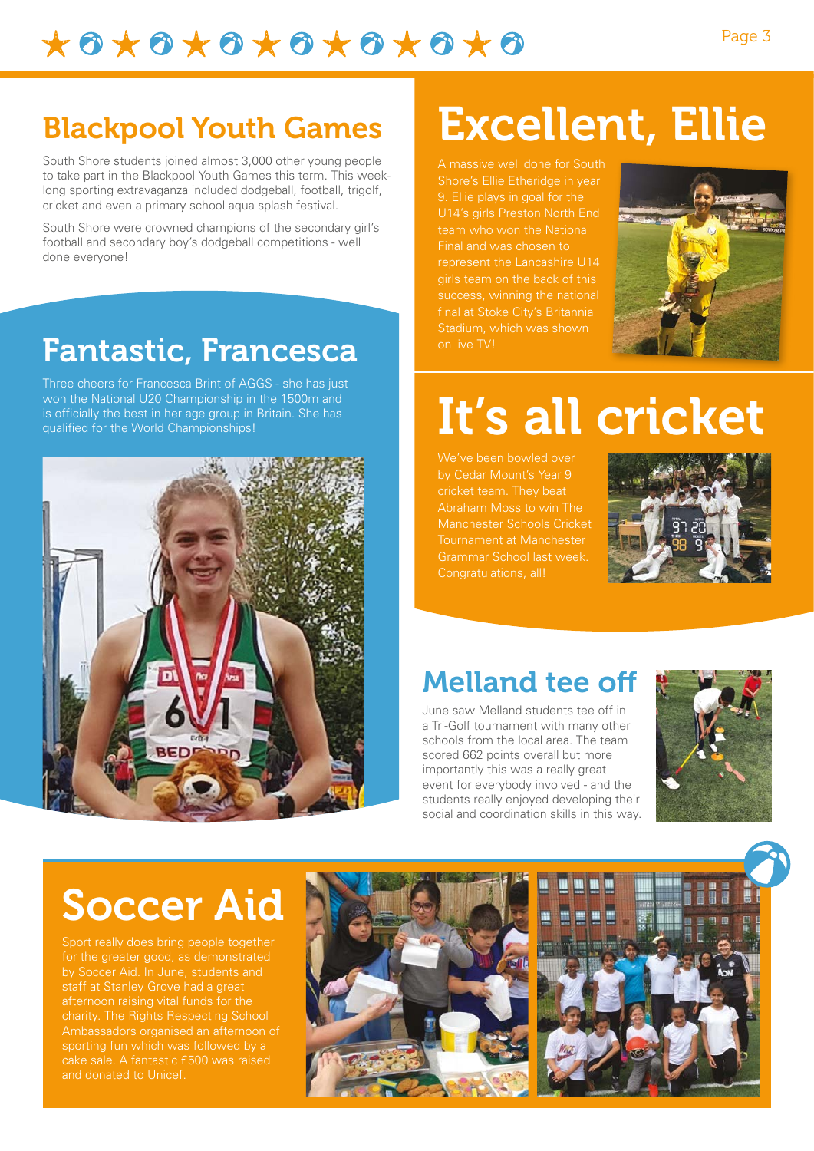$\star \bullet \star \bullet \star \bullet \star \bullet \star \bullet \star \bullet \star \bullet$ 

### Blackpool Youth Games

South Shore students joined almost 3,000 other young people to take part in the Blackpool Youth Games this term. This weeklong sporting extravaganza included dodgeball, football, trigolf, cricket and even a primary school aqua splash festival.

South Shore were crowned champions of the secondary girl's football and secondary boy's dodgeball competitions - well done everyone!

### Fantastic, Francesca

Three cheers for Francesca Brint of AGGS - she has just won the National U20 Championship in the 1500m and is officially the best in her age group in Britain. She has qualified for the World Championships!



# Excellent, Ellie

A massive well done for South Shore's Ellie Etheridge in year 9. Ellie plays in goal for the U14's girls Preston North End team who won the National Final and was chosen to represent the Lancashire U14 girls team on the back of this success, winning the national final at Stoke City's Britannia Stadium, which was shown on live TV!



# It's all cricket

We've been bowled over by Cedar Mount's Year 9 cricket team. They beat Abraham Moss to win The Manchester Schools Cricket Tournament at Manchester Grammar School last week. Congratulations, all!



### Melland tee off

June saw Melland students tee off in a Tri-Golf tournament with many other schools from the local area. The team scored 662 points overall but more importantly this was a really great event for everybody involved - and the students really enjoyed developing their social and coordination skills in this way.



## Soccer Aid

Sport really does bring people together for the greater good, as demonstrated by Soccer Aid. In June, students and staff at Stanley Grove had a great afternoon raising vital funds for the charity. The Rights Respecting School Ambassadors organised an afternoon of and donated to Unicef.